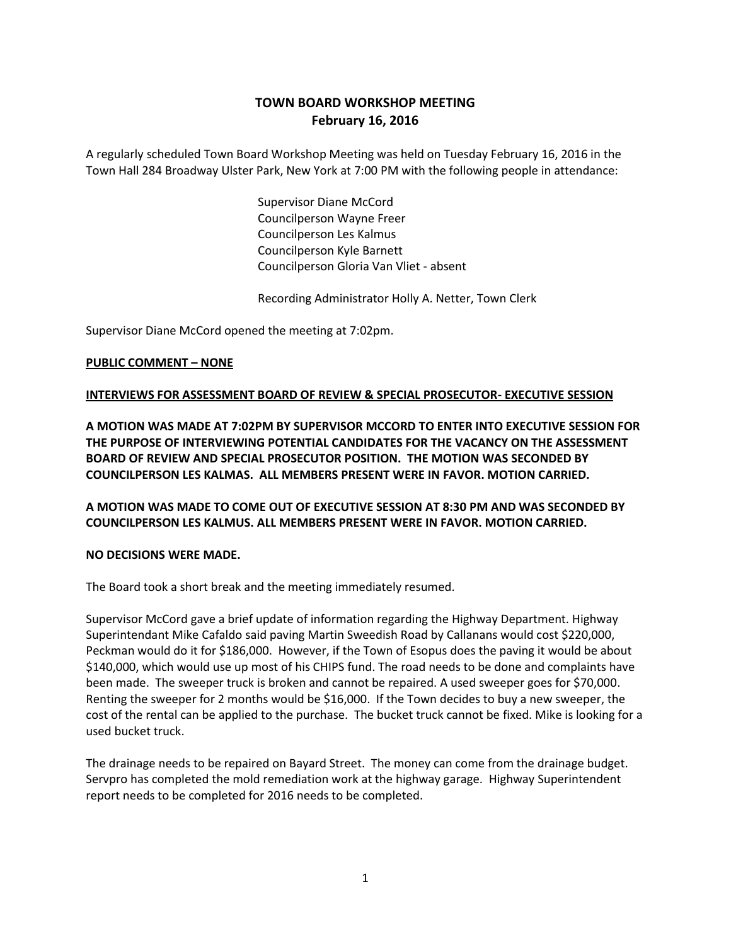# **TOWN BOARD WORKSHOP MEETING February 16, 2016**

A regularly scheduled Town Board Workshop Meeting was held on Tuesday February 16, 2016 in the Town Hall 284 Broadway Ulster Park, New York at 7:00 PM with the following people in attendance:

> Supervisor Diane McCord Councilperson Wayne Freer Councilperson Les Kalmus Councilperson Kyle Barnett Councilperson Gloria Van Vliet - absent

Recording Administrator Holly A. Netter, Town Clerk

Supervisor Diane McCord opened the meeting at 7:02pm.

## **PUBLIC COMMENT – NONE**

#### **INTERVIEWS FOR ASSESSMENT BOARD OF REVIEW & SPECIAL PROSECUTOR- EXECUTIVE SESSION**

**A MOTION WAS MADE AT 7:02PM BY SUPERVISOR MCCORD TO ENTER INTO EXECUTIVE SESSION FOR THE PURPOSE OF INTERVIEWING POTENTIAL CANDIDATES FOR THE VACANCY ON THE ASSESSMENT BOARD OF REVIEW AND SPECIAL PROSECUTOR POSITION. THE MOTION WAS SECONDED BY COUNCILPERSON LES KALMAS. ALL MEMBERS PRESENT WERE IN FAVOR. MOTION CARRIED.** 

**A MOTION WAS MADE TO COME OUT OF EXECUTIVE SESSION AT 8:30 PM AND WAS SECONDED BY COUNCILPERSON LES KALMUS. ALL MEMBERS PRESENT WERE IN FAVOR. MOTION CARRIED.**

#### **NO DECISIONS WERE MADE.**

The Board took a short break and the meeting immediately resumed.

Supervisor McCord gave a brief update of information regarding the Highway Department. Highway Superintendant Mike Cafaldo said paving Martin Sweedish Road by Callanans would cost \$220,000, Peckman would do it for \$186,000. However, if the Town of Esopus does the paving it would be about \$140,000, which would use up most of his CHIPS fund. The road needs to be done and complaints have been made. The sweeper truck is broken and cannot be repaired. A used sweeper goes for \$70,000. Renting the sweeper for 2 months would be \$16,000. If the Town decides to buy a new sweeper, the cost of the rental can be applied to the purchase. The bucket truck cannot be fixed. Mike is looking for a used bucket truck.

The drainage needs to be repaired on Bayard Street. The money can come from the drainage budget. Servpro has completed the mold remediation work at the highway garage. Highway Superintendent report needs to be completed for 2016 needs to be completed.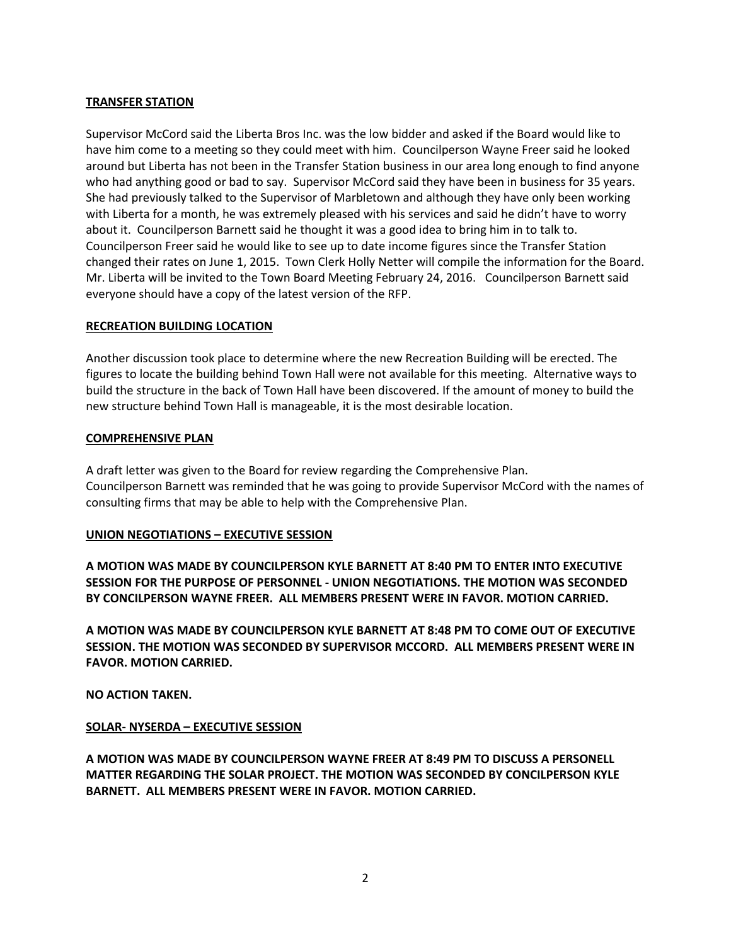# **TRANSFER STATION**

Supervisor McCord said the Liberta Bros Inc. was the low bidder and asked if the Board would like to have him come to a meeting so they could meet with him. Councilperson Wayne Freer said he looked around but Liberta has not been in the Transfer Station business in our area long enough to find anyone who had anything good or bad to say. Supervisor McCord said they have been in business for 35 years. She had previously talked to the Supervisor of Marbletown and although they have only been working with Liberta for a month, he was extremely pleased with his services and said he didn't have to worry about it. Councilperson Barnett said he thought it was a good idea to bring him in to talk to. Councilperson Freer said he would like to see up to date income figures since the Transfer Station changed their rates on June 1, 2015. Town Clerk Holly Netter will compile the information for the Board. Mr. Liberta will be invited to the Town Board Meeting February 24, 2016. Councilperson Barnett said everyone should have a copy of the latest version of the RFP.

## **RECREATION BUILDING LOCATION**

Another discussion took place to determine where the new Recreation Building will be erected. The figures to locate the building behind Town Hall were not available for this meeting. Alternative ways to build the structure in the back of Town Hall have been discovered. If the amount of money to build the new structure behind Town Hall is manageable, it is the most desirable location.

## **COMPREHENSIVE PLAN**

A draft letter was given to the Board for review regarding the Comprehensive Plan. Councilperson Barnett was reminded that he was going to provide Supervisor McCord with the names of consulting firms that may be able to help with the Comprehensive Plan.

## **UNION NEGOTIATIONS – EXECUTIVE SESSION**

**A MOTION WAS MADE BY COUNCILPERSON KYLE BARNETT AT 8:40 PM TO ENTER INTO EXECUTIVE SESSION FOR THE PURPOSE OF PERSONNEL - UNION NEGOTIATIONS. THE MOTION WAS SECONDED BY CONCILPERSON WAYNE FREER. ALL MEMBERS PRESENT WERE IN FAVOR. MOTION CARRIED.**

**A MOTION WAS MADE BY COUNCILPERSON KYLE BARNETT AT 8:48 PM TO COME OUT OF EXECUTIVE SESSION. THE MOTION WAS SECONDED BY SUPERVISOR MCCORD. ALL MEMBERS PRESENT WERE IN FAVOR. MOTION CARRIED.**

**NO ACTION TAKEN.**

## **SOLAR- NYSERDA – EXECUTIVE SESSION**

**A MOTION WAS MADE BY COUNCILPERSON WAYNE FREER AT 8:49 PM TO DISCUSS A PERSONELL MATTER REGARDING THE SOLAR PROJECT. THE MOTION WAS SECONDED BY CONCILPERSON KYLE BARNETT. ALL MEMBERS PRESENT WERE IN FAVOR. MOTION CARRIED.**